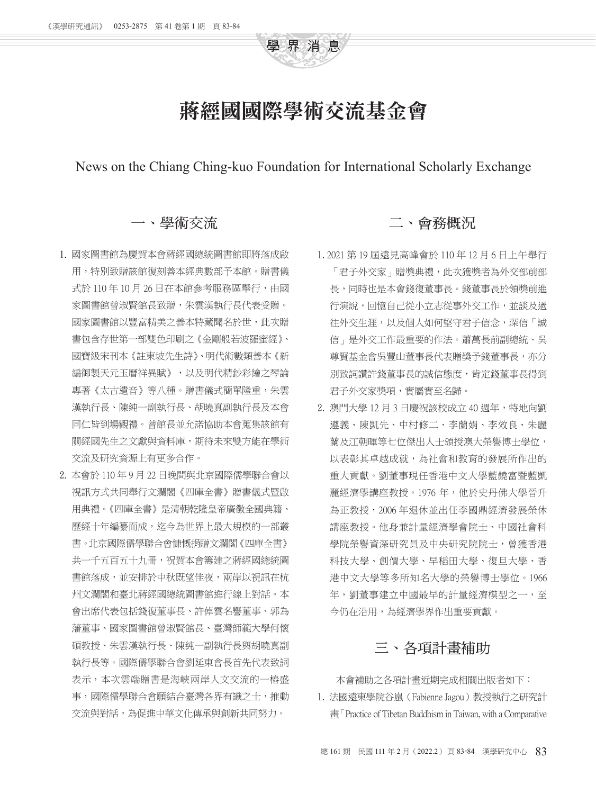

## 蔣經國國際學術交流基金會

News on the Chiang Ching-kuo Foundation for International Scholarly Exchange

## 一、學術交流

- 1. 國家圖書館為慶賀本會蔣經國總統圖書館即將落成啟 用,特別致贈該館復刻善本經典數部予本館。贈書儀 式於110年10月26日在本館參考服務區舉行,由國 家圖書館曾淑賢館長致贈,朱雲漢執行長代表受贈。 國家圖書館以豐富精美之善本特藏聞名於世,此次贈 書包含存世第一部雙色印刷之《金剛般若波羅蜜經》、 國寶級宋刊本《註東坡先生詩》、明代術數類善本《新 編御製天元玉曆祥異賦》,以及明代精鈔彩繪之琴論 專著《太古遺音》等八種。贈書儀式簡單隆重,朱雲 漢執行長、陳純一副執行長、胡曉真副執行長及本會 同仁皆到場觀禮。曾館長並允諾協助本會蒐集該館有 關經國先生之文獻與資料庫,期待未來雙方能在學術 交流及研究資源上有更多合作。
- 2. 本會於 110 年 9 月 22 日晚間與北京國際儒學聯合會以 視訊方式共同舉行文瀾閣《四庫全書》贈書儀式暨啟 用典禮。《四庫全書》是清朝乾隆皇帝廣徵全國典籍、 歷經十年編纂而成,迄今為世界上最大規模的一部叢 書。北京國際儒學聯合會慷慨捐贈文瀾閣《四庫全書》 共一千五百五十九冊,祝賀本會籌建之蔣經國總統圖 書館落成,並安排於中秋既望佳夜,兩岸以視訊在杭 州文瀾閣和臺北蔣經國總統圖書館進行線上對話。本 會出席代表包括錢復董事長、許倬雲名譽董事、郭為 藩董事、國家圖書館曾淑賢館長、臺灣師範大學何懷 碩教授、朱雲漢執行長、陳純一副執行長與胡曉真副 執行長等。國際儒學聯合會劉延東會長首先代表致詞 表示,本次雲端贈書是海峽兩岸人文交流的一樁盛 事,國際儒學聯合會願結合臺灣各界有識之士,推動 交流與對話,為促進中華文化傳承與創新共同努力。

## 二、會務概況

- 1.2021 第 19 屆遠見高峰會於 110 年 12 月 6 日上午舉行 「君子外交家」贈獎典禮,此次獲獎者為外交部前部 長,同時也是本會錢復董事長。錢董事長於領獎前進 行演說,回憶自己從小立志從事外交工作,並談及過 往外交生涯,以及個人如何堅守君子信念,深信「誠 信」是外交工作最重要的作法。蕭萬長前副總統、吳 尊賢基金會吳豐山董事長代表贈獎予錢董事長,亦分 別致詞讚許錢董事長的誠信態度,肯定錢董事長得到 君子外交家獎項,實屬實至名歸。
- 2. 澳門大學 12月3日慶祝該校成立40週年,特地向劉 遵義、陳凱先、中村修二、李蘭娟、李效良、朱麗 蘭及江朝暉等七位傑出人士頒授澳大榮譽博士學位, 以表彰其卓越成就,為社會和教育的發展所作出的 重大貢獻。劉董事現任香港中文大學藍饒富暨藍凱 麗經濟學講座教授。1976年,他於史丹佛大學晉升 為正教授,2006 年退休並出任李國鼎經濟發展榮休 講座教授。他身兼計量經濟學會院士、中國社會科 學院榮譽資深研究員及中央研究院院士, 曾獲香港 科技大學、創價大學、早稻田大學、復旦大學、香 港中文大學等多所知名大學的榮譽博士學位。1966 年,劉董事建立中國最早的計量經濟模型之一,至 今仍在沿用,為經濟學界作出重要貢獻。

## 三、各項計畫補助

本會補助之各項計畫近期完成相關出版者如下:

1. 法國遠東學院谷嵐(Fabienne Jagou)教授執行之研究計 畫「Practice of Tibetan Buddhism in Taiwan, with a Comparative